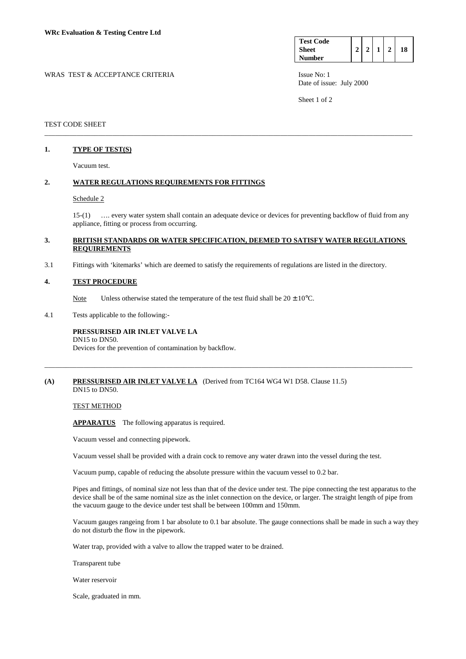| <b>Test Code</b> |  |  |    |
|------------------|--|--|----|
| <b>Sheet</b>     |  |  | 18 |
| <b>Number</b>    |  |  |    |

WRAS TEST & ACCEPTANCE CRITERIA **ISSUE NO:** 1 ISSUE No: 1 Date of issue: July 2000

Sheet 1 of 2

### TEST CODE SHEET

# **1. TYPE OF TEST(S)**

Vacuum test.

# **2. WATER REGULATIONS REQUIREMENTS FOR FITTINGS**

#### Schedule 2

 15-(1) …. every water system shall contain an adequate device or devices for preventing backflow of fluid from any appliance, fitting or process from occurring.

### **3. BRITISH STANDARDS OR WATER SPECIFICATION, DEEMED TO SATISFY WATER REGULATIONS REQUIREMENTS**

\_\_\_\_\_\_\_\_\_\_\_\_\_\_\_\_\_\_\_\_\_\_\_\_\_\_\_\_\_\_\_\_\_\_\_\_\_\_\_\_\_\_\_\_\_\_\_\_\_\_\_\_\_\_\_\_\_\_\_\_\_\_\_\_\_\_\_\_\_\_\_\_\_\_\_\_\_\_\_\_\_\_\_\_\_\_\_\_\_\_\_\_\_\_\_\_\_\_\_\_\_\_\_

3.1 Fittings with 'kitemarks' which are deemed to satisfy the requirements of regulations are listed in the directory.

#### **4. TEST PROCEDURE**

Note Unless otherwise stated the temperature of the test fluid shall be  $20 \pm 10^{\circ}$ C.

4.1 Tests applicable to the following:-

#### **PRESSURISED AIR INLET VALVE LA**  DN15 to DN50.

Devices for the prevention of contamination by backflow.

#### **(A) PRESSURISED AIR INLET VALVE LA** (Derived from TC164 WG4 W1 D58. Clause 11.5) DN15 to DN50.

TEST METHOD

 **APPARATUS** The following apparatus is required.

Vacuum vessel and connecting pipework.

Vacuum vessel shall be provided with a drain cock to remove any water drawn into the vessel during the test.

\_\_\_\_\_\_\_\_\_\_\_\_\_\_\_\_\_\_\_\_\_\_\_\_\_\_\_\_\_\_\_\_\_\_\_\_\_\_\_\_\_\_\_\_\_\_\_\_\_\_\_\_\_\_\_\_\_\_\_\_\_\_\_\_\_\_\_\_\_\_\_\_\_\_\_\_\_\_\_\_\_\_\_\_\_\_\_\_\_\_\_\_\_\_\_\_\_\_\_\_\_\_\_

Vacuum pump, capable of reducing the absolute pressure within the vacuum vessel to 0.2 bar.

 Pipes and fittings, of nominal size not less than that of the device under test. The pipe connecting the test apparatus to the device shall be of the same nominal size as the inlet connection on the device, or larger. The straight length of pipe from the vacuum gauge to the device under test shall be between 100mm and 150mm.

 Vacuum gauges rangeing from 1 bar absolute to 0.1 bar absolute. The gauge connections shall be made in such a way they do not disturb the flow in the pipework.

Water trap, provided with a valve to allow the trapped water to be drained.

Transparent tube

Water reservoir

Scale, graduated in mm.